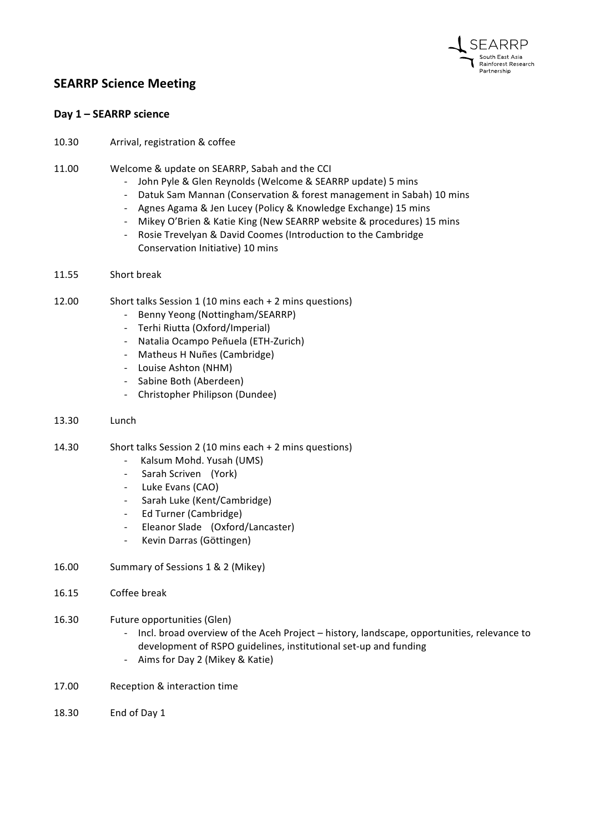

# **SEARRP Science Meeting**

#### **Day 1 – SEARRP science**

- 10.30 Arrival, registration & coffee
- 11.00 Welcome & update on SEARRP, Sabah and the CCI
	- John Pyle & Glen Reynolds (Welcome & SEARRP update) 5 mins
	- Datuk Sam Mannan (Conservation & forest management in Sabah) 10 mins
	- Agnes Agama & Jen Lucey (Policy & Knowledge Exchange) 15 mins
	- Mikey O'Brien & Katie King (New SEARRP website & procedures) 15 mins
	- Rosie Trevelyan & David Coomes (Introduction to the Cambridge Conservation Initiative) 10 mins
- 11.55 Short break
- 12.00 Short talks Session 1 (10 mins each + 2 mins questions)
	- Benny Yeong (Nottingham/SEARRP)
	- Terhi Riutta (Oxford/Imperial)
	- Natalia Ocampo Peñuela (ETH-Zurich)
	- Matheus H Nuñes (Cambridge)
	- Louise Ashton (NHM)
	- Sabine Both (Aberdeen)
	- Christopher Philipson (Dundee)
- 13.30 Lunch
- 14.30 Short talks Session 2 (10 mins each + 2 mins questions)
	- Kalsum Mohd. Yusah (UMS)
	- Sarah Scriven (York)
	- Luke Evans (CAO)
	- Sarah Luke (Kent/Cambridge)
	- Ed Turner (Cambridge)
	- Eleanor Slade (Oxford/Lancaster)
	- Kevin Darras (Göttingen)
- 16.00 Summary of Sessions 1 & 2 (Mikey)
- 16.15 Coffee break
- 16.30 Future opportunities (Glen)
	- Incl. broad overview of the Aceh Project history, landscape, opportunities, relevance to development of RSPO guidelines, institutional set-up and funding
	- Aims for Day 2 (Mikey & Katie)
- 17.00 Reception & interaction time
- 18.30 End of Day 1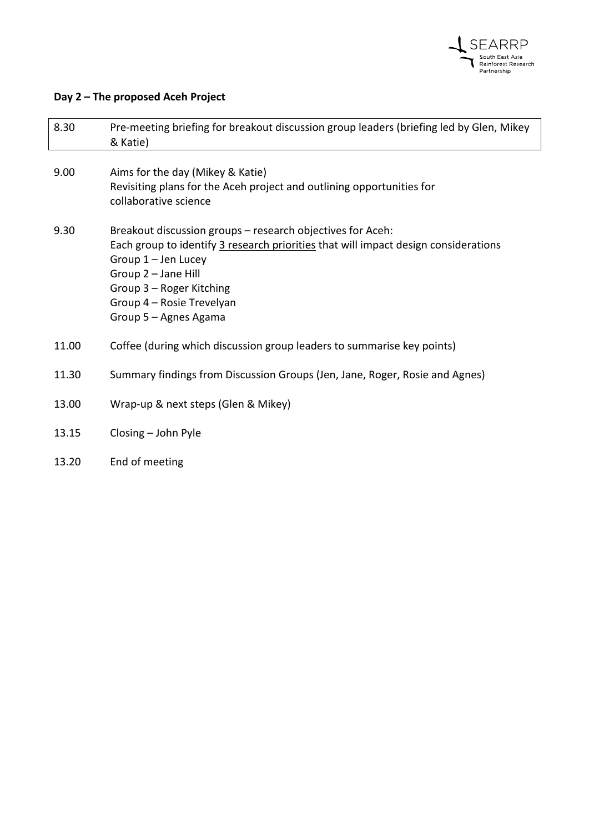

# **Day 2 – The proposed Aceh Project**

| 8.30  | Pre-meeting briefing for breakout discussion group leaders (briefing led by Glen, Mikey<br>& Katie)                                                                                                                                                                                 |
|-------|-------------------------------------------------------------------------------------------------------------------------------------------------------------------------------------------------------------------------------------------------------------------------------------|
| 9.00  | Aims for the day (Mikey & Katie)<br>Revisiting plans for the Aceh project and outlining opportunities for<br>collaborative science                                                                                                                                                  |
| 9.30  | Breakout discussion groups – research objectives for Aceh:<br>Each group to identify 3 research priorities that will impact design considerations<br>Group $1 -$ Jen Lucey<br>Group 2 - Jane Hill<br>Group 3 - Roger Kitching<br>Group 4 - Rosie Trevelyan<br>Group 5 - Agnes Agama |
| 11.00 | Coffee (during which discussion group leaders to summarise key points)                                                                                                                                                                                                              |
| 11.30 | Summary findings from Discussion Groups (Jen, Jane, Roger, Rosie and Agnes)                                                                                                                                                                                                         |
| 13.00 | Wrap-up & next steps (Glen & Mikey)                                                                                                                                                                                                                                                 |
| 13.15 | Closing - John Pyle                                                                                                                                                                                                                                                                 |
| 13.20 | End of meeting                                                                                                                                                                                                                                                                      |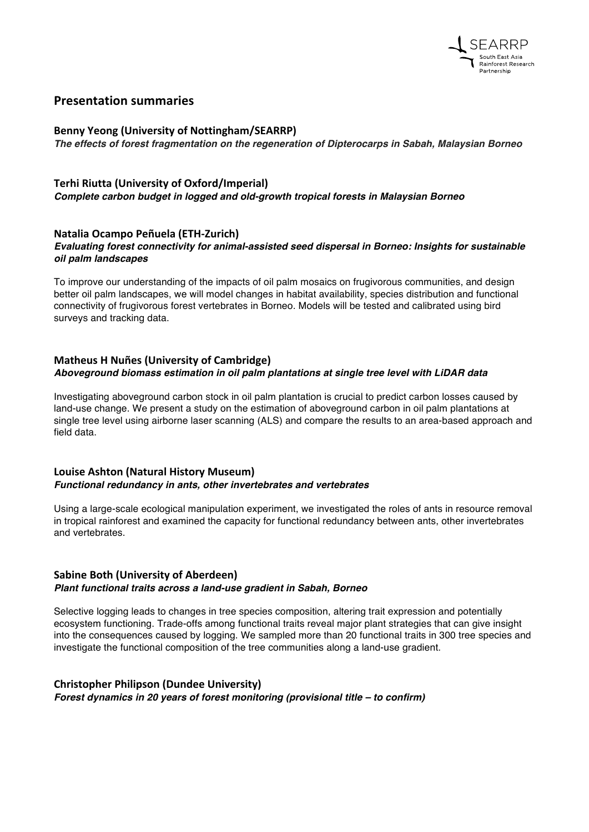

# **Presentation summaries**

#### **Benny Yeong (University of Nottingham/SEARRP)**

*The effects of forest fragmentation on the regeneration of Dipterocarps in Sabah, Malaysian Borneo*

## **Terhi Riutta (University of Oxford/Imperial)**

*Complete carbon budget in logged and old-growth tropical forests in Malaysian Borneo*

## **Natalia Ocampo Peñuela (ETH-Zurich)**

#### *Evaluating forest connectivity for animal-assisted seed dispersal in Borneo: Insights for sustainable oil palm landscapes*

To improve our understanding of the impacts of oil palm mosaics on frugivorous communities, and design better oil palm landscapes, we will model changes in habitat availability, species distribution and functional connectivity of frugivorous forest vertebrates in Borneo. Models will be tested and calibrated using bird surveys and tracking data.

### **Matheus H Nuñes (University of Cambridge)** *Aboveground biomass estimation in oil palm plantations at single tree level with LiDAR data*

Investigating aboveground carbon stock in oil palm plantation is crucial to predict carbon losses caused by land-use change. We present a study on the estimation of aboveground carbon in oil palm plantations at single tree level using airborne laser scanning (ALS) and compare the results to an area-based approach and field data.

#### Louise Ashton (Natural History Museum) *Functional redundancy in ants, other invertebrates and vertebrates*

Using a large-scale ecological manipulation experiment, we investigated the roles of ants in resource removal in tropical rainforest and examined the capacity for functional redundancy between ants, other invertebrates and vertebrates.

#### **Sabine Both (University of Aberdeen)**

#### *Plant functional traits across a land-use gradient in Sabah, Borneo*

Selective logging leads to changes in tree species composition, altering trait expression and potentially ecosystem functioning. Trade-offs among functional traits reveal major plant strategies that can give insight into the consequences caused by logging. We sampled more than 20 functional traits in 300 tree species and investigate the functional composition of the tree communities along a land-use gradient.

# **Christopher Philipson (Dundee University)** *Forest dynamics in 20 years of forest monitoring (provisional title – to confirm)*